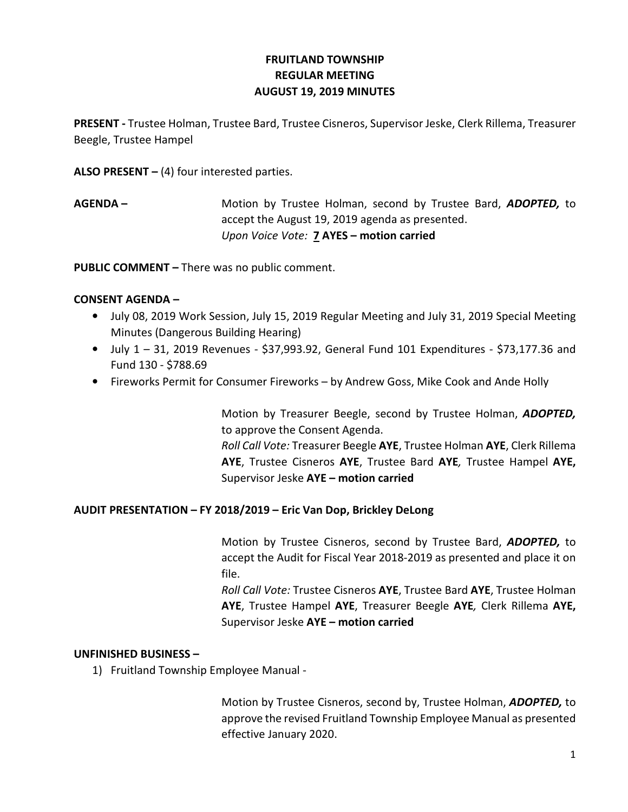# FRUITLAND TOWNSHIP REGULAR MEETING AUGUST 19, 2019 MINUTES

PRESENT - Trustee Holman, Trustee Bard, Trustee Cisneros, Supervisor Jeske, Clerk Rillema, Treasurer Beegle, Trustee Hampel

ALSO PRESENT  $-$  (4) four interested parties.

AGENDA – Motion by Trustee Holman, second by Trustee Bard, ADOPTED, to accept the August 19, 2019 agenda as presented. Upon Voice Vote: **7 AYES - motion carried** 

PUBLIC COMMENT – There was no public comment.

## CONSENT AGENDA –

- July 08, 2019 Work Session, July 15, 2019 Regular Meeting and July 31, 2019 Special Meeting Minutes (Dangerous Building Hearing)
- July  $1 31$ , 2019 Revenues \$37,993.92, General Fund 101 Expenditures \$73,177.36 and Fund 130 - \$788.69
- Fireworks Permit for Consumer Fireworks by Andrew Goss, Mike Cook and Ande Holly

 Motion by Treasurer Beegle, second by Trustee Holman, ADOPTED, to approve the Consent Agenda.

Roll Call Vote: Treasurer Beegle AYE, Trustee Holman AYE, Clerk Rillema AYE, Trustee Cisneros AYE, Trustee Bard AYE, Trustee Hampel AYE, Supervisor Jeske AYE – motion carried

## AUDIT PRESENTATION – FY 2018/2019 – Eric Van Dop, Brickley DeLong

Motion by Trustee Cisneros, second by Trustee Bard, ADOPTED, to accept the Audit for Fiscal Year 2018-2019 as presented and place it on file.

Roll Call Vote: Trustee Cisneros AYE, Trustee Bard AYE, Trustee Holman AYE, Trustee Hampel AYE, Treasurer Beegle AYE, Clerk Rillema AYE, Supervisor Jeske AYE – motion carried

## UNFINISHED BUSINESS –

1) Fruitland Township Employee Manual -

Motion by Trustee Cisneros, second by, Trustee Holman, ADOPTED, to approve the revised Fruitland Township Employee Manual as presented effective January 2020.